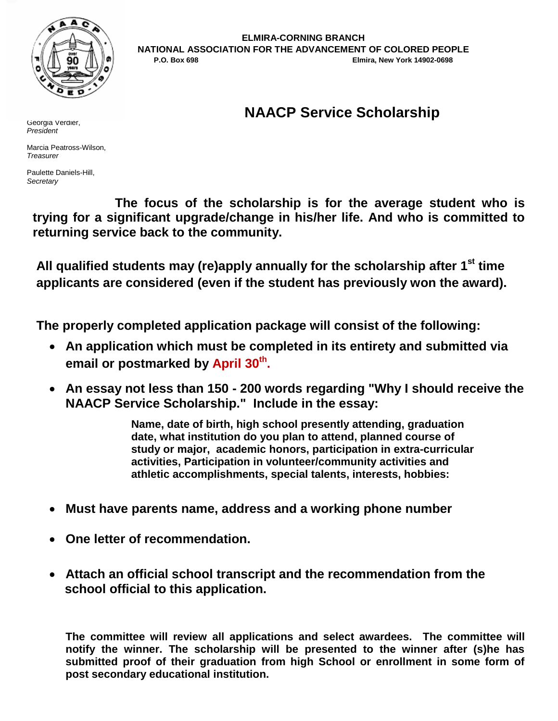

**ELMIRA-CORNING BRANCH NATIONAL ASSOCIATION FOR THE ADVANCEMENT OF COLORED PEOPLE P.O. Box 698 Elmira, New York 14902-0698**

# **NAACP Service Scholarship**

Georgia Verdier, *President*

Marcia Peatross-Wilson, *Treasurer*

Paulette Daniels-Hill, *Secretary*

**The focus of the scholarship is for the average student who is trying for a significant upgrade/change in his/her life. And who is committed to returning service back to the community.** 

**All qualified students may (re)apply annually for the scholarship after 1st time applicants are considered (even if the student has previously won the award).**

**The properly completed application package will consist of the following:**

- **An application which must be completed in its entirety and submitted via email or postmarked by April 30 th .**
- **An essay not less than 150 - 200 words regarding "Why I should receive the NAACP Service Scholarship." Include in the essay:**

**Name, date of birth, high school presently attending, graduation date, what institution do you plan to attend, planned course of study or major, academic honors, participation in extra-curricular activities, Participation in volunteer/community activities and athletic accomplishments, special talents, interests, hobbies:**

- **Must have parents name, address and a working phone number**
- **One letter of recommendation.**
- **Attach an official school transcript and the recommendation from the school official to this application.**

**The committee will review all applications and select awardees. The committee will notify the winner. The scholarship will be presented to the winner after (s)he has submitted proof of their graduation from high School or enrollment in some form of post secondary educational institution.**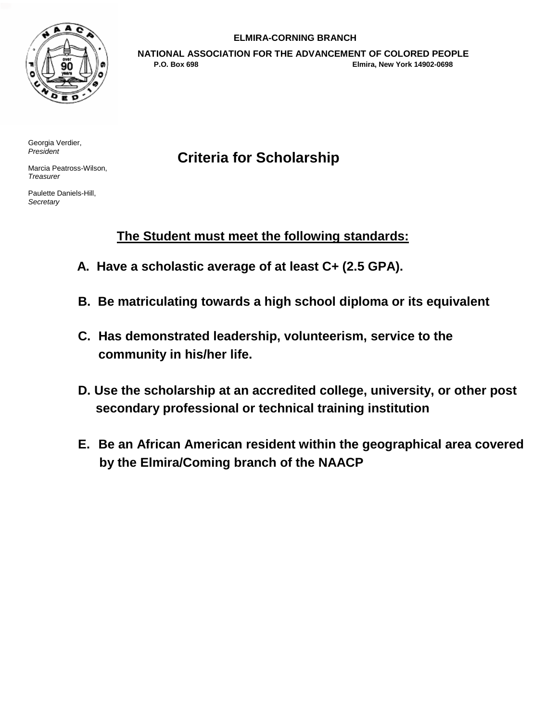

### **ELMIRA-CORNING BRANCH**

**NATIONAL ASSOCIATION FOR THE ADVANCEMENT OF COLORED PEOPLE P.O. Box 698 Elmira, New York 14902-0698**

Georgia Verdier, *President*

Marcia Peatross-Wilson, *Treasurer*

Paulette Daniels-Hill, *Secretary*

# **Criteria for Scholarship**

## **The Student must meet the following standards:**

- **A. Have a scholastic average of at least C+ (2.5 GPA).**
- **B. Be matriculating towards a high school diploma or its equivalent**
- **C. Has demonstrated leadership, volunteerism, service to the community in his/her life.**
- **D. Use the scholarship at an accredited college, university, or other post secondary professional or technical training institution**
- **E. Be an African American resident within the geographical area covered by the Elmira/Coming branch of the NAACP**